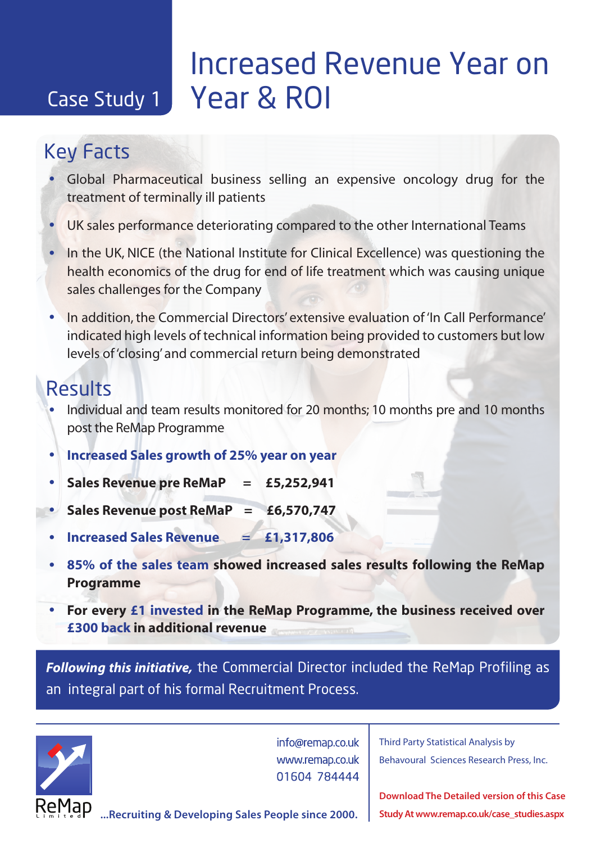# **Increased Revenue Year on** Case Study 1 Year & ROI

## Key Facts

- Global Pharmaceutical business selling an expensive oncology drug for the treatment of terminally ill patients
- UK sales performance deteriorating compared to the other International Teams
- In the UK, NICE (the National Institute for Clinical Excellence) was questioning the health economics of the drug for end of life treatment which was causing unique sales challenges for the Company
- In addition, the Commercial Directors' extensive evaluation of 'In Call Performance' indicated high levels of technical information being provided to customers but low levels of 'closing' and commercial return being demonstrated

#### Results

- Individual and team results monitored for 20 months; 10 months pre and 10 months post the ReMap Programme
- **Increased Sales growth of 25% year on year**
- **Sales Revenue pre ReMaP = £5,252,941**
- **Sales Revenue post ReMaP = £6,570,747**
- **Increased Sales Revenue = £1,317,806**
- **85% of the sales team showed increased sales results following the ReMap Programme**
- **For every £1 invested in the ReMap Programme, the business received over £300 back in additional revenue**

*Following this initiative,* the Commercial Director included the ReMap Profiling as an integral part of his formal Recruitment Process.



info@remap.co.uk www.remap.co.uk 01604 784444

Third Party Statistical Analysis by Behavoural Sciences Research Press, Inc.

**Download The Detailed version of this Case Study At www.remap.co.uk/case\_studies.aspx**

**...Recruiting & Developing Sales People since 2000.**